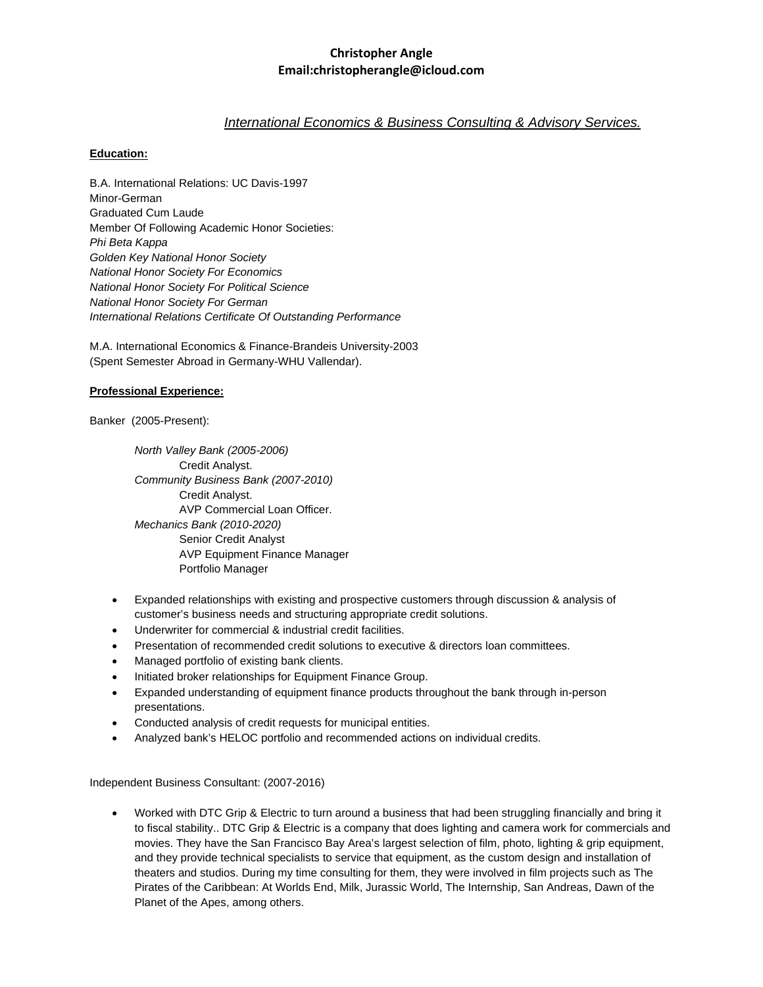### **Christopher Angle Email:christopherangle@icloud.com**

# *International Economics & Business Consulting & Advisory Services.*

### **Education:**

B.A. International Relations: UC Davis-1997 Minor-German Graduated Cum Laude Member Of Following Academic Honor Societies: *Phi Beta Kappa Golden Key National Honor Society National Honor Society For Economics National Honor Society For Political Science National Honor Society For German International Relations Certificate Of Outstanding Performance* 

M.A. International Economics & Finance-Brandeis University-2003 (Spent Semester Abroad in Germany-WHU Vallendar).

### **Professional Experience:**

Banker (2005-Present):

*North Valley Bank (2005-2006)* Credit Analyst. *Community Business Bank (2007-2010)* Credit Analyst. AVP Commercial Loan Officer. *Mechanics Bank (2010-2020)* Senior Credit Analyst AVP Equipment Finance Manager Portfolio Manager

- Expanded relationships with existing and prospective customers through discussion & analysis of customer's business needs and structuring appropriate credit solutions.
- Underwriter for commercial & industrial credit facilities.
- Presentation of recommended credit solutions to executive & directors loan committees.
- Managed portfolio of existing bank clients.
- Initiated broker relationships for Equipment Finance Group.
- Expanded understanding of equipment finance products throughout the bank through in-person presentations.
- Conducted analysis of credit requests for municipal entities.
- Analyzed bank's HELOC portfolio and recommended actions on individual credits.

Independent Business Consultant: (2007-2016)

• Worked with DTC Grip & Electric to turn around a business that had been struggling financially and bring it to fiscal stability.. DTC Grip & Electric is a company that does lighting and camera work for commercials and movies. They have the San Francisco Bay Area's largest selection of film, photo, lighting & grip equipment, and they provide technical specialists to service that equipment, as the custom design and installation of theaters and studios. During my time consulting for them, they were involved in film projects such as The Pirates of the Caribbean: At Worlds End, Milk, Jurassic World, The Internship, San Andreas, Dawn of the Planet of the Apes, among others.